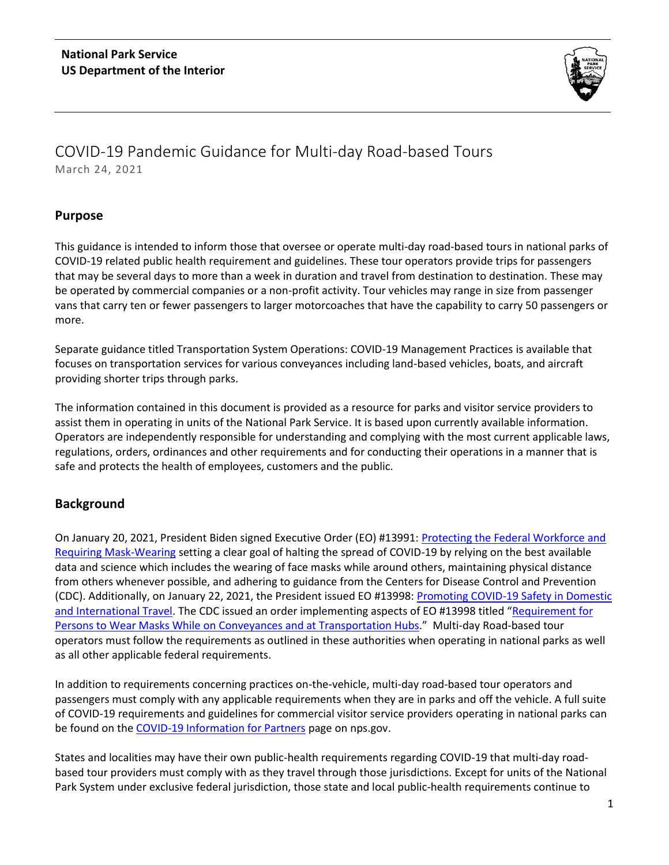

# COVID-19 Pandemic Guidance for Multi-day Road-based Tours March 24, 2021

## **Purpose**

This guidance is intended to inform those that oversee or operate multi-day road-based tours in national parks of COVID-19 related public health requirement and guidelines. These tour operators provide trips for passengers that may be several days to more than a week in duration and travel from destination to destination. These may be operated by commercial companies or a non-profit activity. Tour vehicles may range in size from passenger vans that carry ten or fewer passengers to larger motorcoaches that have the capability to carry 50 passengers or more.

Separate guidance titled Transportation System Operations: COVID-19 Management Practices is available that focuses on transportation services for various conveyances including land-based vehicles, boats, and aircraft providing shorter trips through parks.

The information contained in this document is provided as a resource for parks and visitor service providers to assist them in operating in units of the National Park Service. It is based upon currently available information. Operators are independently responsible for understanding and complying with the most current applicable laws, regulations, orders, ordinances and other requirements and for conducting their operations in a manner that is safe and protects the health of employees, customers and the public.

# **Background**

On January 20, 2021, President Biden signed Executive Order (EO) #13991: [Protecting the Federal Workforce and](https://gcc02.safelinks.protection.outlook.com/?url=https%3A%2F%2Fwww.whitehouse.gov%2Fbriefing-room%2Fpresidential-actions%2F2021%2F01%2F20%2Fexecutive-order-protecting-the-federal-workforce-and-requiring-mask-wearing%2F&data=04%7C01%7CRick_Kendall%40nps.gov%7C2fbb55eda25f4df36d2908d8c7ac59af%7C0693b5ba4b184d7b9341f32f400a5494%7C0%7C0%7C637478891426201247%7CUnknown%7CTWFpbGZsb3d8eyJWIjoiMC4wLjAwMDAiLCJQIjoiV2luMzIiLCJBTiI6Ik1haWwiLCJXVCI6Mn0%3D%7C1000&sdata=cDckAgyv1t1VnsFgK4iPejckou3Dn3CMM9bLAkRQoXg%3D&reserved=0)  [Requiring Mask-Wearing](https://gcc02.safelinks.protection.outlook.com/?url=https%3A%2F%2Fwww.whitehouse.gov%2Fbriefing-room%2Fpresidential-actions%2F2021%2F01%2F20%2Fexecutive-order-protecting-the-federal-workforce-and-requiring-mask-wearing%2F&data=04%7C01%7CRick_Kendall%40nps.gov%7C2fbb55eda25f4df36d2908d8c7ac59af%7C0693b5ba4b184d7b9341f32f400a5494%7C0%7C0%7C637478891426201247%7CUnknown%7CTWFpbGZsb3d8eyJWIjoiMC4wLjAwMDAiLCJQIjoiV2luMzIiLCJBTiI6Ik1haWwiLCJXVCI6Mn0%3D%7C1000&sdata=cDckAgyv1t1VnsFgK4iPejckou3Dn3CMM9bLAkRQoXg%3D&reserved=0) setting a clear goal of halting the spread of COVID-19 by relying on the best available data and science which includes the wearing of face masks while around others, maintaining physical distance from others whenever possible, and adhering to guidance from the Centers for Disease Control and Prevention (CDC). Additionally, on January 22, 2021, the President issued EO #13998: [Promoting COVID-19 Safety in Domestic](https://www.whitehouse.gov/briefing-room/presidential-actions/2021/01/21/executive-order-promoting-covid-19-safety-in-domestic-and-international-travel/)  [and International Travel.](https://www.whitehouse.gov/briefing-room/presidential-actions/2021/01/21/executive-order-promoting-covid-19-safety-in-domestic-and-international-travel/) The CDC issued an order implementing aspects of EO #13998 titled "[Requirement for](https://www.cdc.gov/quarantine/masks/mask-travel-guidance.html)  [Persons to Wear Masks While on Conveyances and at Transportation Hubs](https://www.cdc.gov/quarantine/masks/mask-travel-guidance.html)." Multi-day Road-based tour operators must follow the requirements as outlined in these authorities when operating in national parks as well as all other applicable federal requirements.

In addition to requirements concerning practices on-the-vehicle, multi-day road-based tour operators and passengers must comply with any applicable requirements when they are in parks and off the vehicle. A full suite of COVID-19 requirements and guidelines for commercial visitor service providers operating in national parks can be found on th[e COVID-19 Information for Partners](https://www.nps.gov/subjects/partnerships/publichealthforpartners.htm) page on nps.gov.

States and localities may have their own public-health requirements regarding COVID-19 that multi-day roadbased tour providers must comply with as they travel through those jurisdictions. Except for units of the National Park System under exclusive federal jurisdiction, those state and local public-health requirements continue to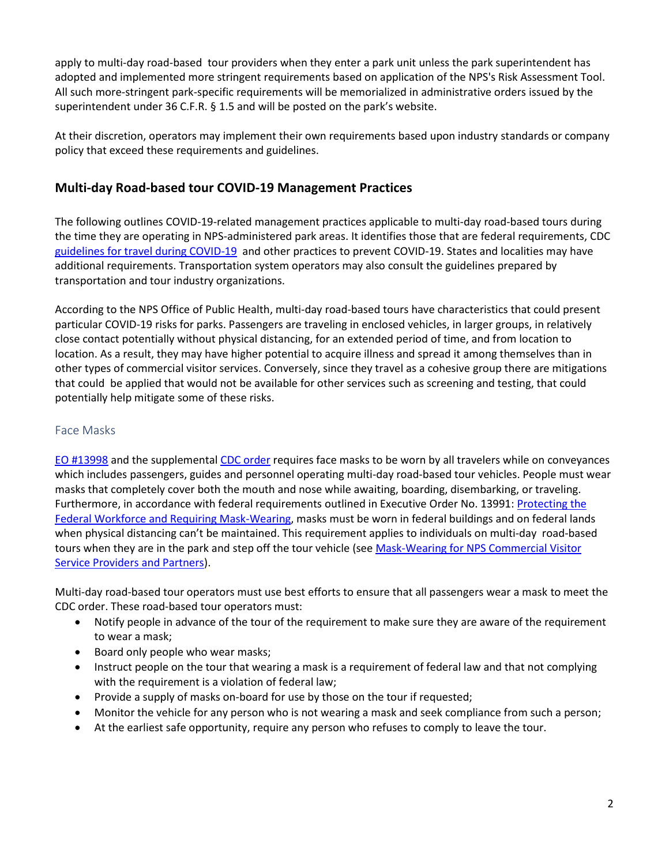apply to multi-day road-based tour providers when they enter a park unit unless the park superintendent has adopted and implemented more stringent requirements based on application of the NPS's Risk Assessment Tool. All such more-stringent park-specific requirements will be memorialized in administrative orders issued by the superintendent under 36 C.F.R. § 1.5 and will be posted on the park's website.

At their discretion, operators may implement their own requirements based upon industry standards or company policy that exceed these requirements and guidelines.

# **Multi-day Road-based tour COVID-19 Management Practices**

The following outlines COVID-19-related management practices applicable to multi-day road-based tours during the time they are operating in NPS-administered park areas. It identifies those that are federal requirements, CDC [guidelines for travel during COVID-19](https://www.cdc.gov/coronavirus/2019-ncov/travelers/travel-during-covid19.html) and other practices to prevent COVID-19. States and localities may have additional requirements. Transportation system operators may also consult the guidelines prepared by transportation and tour industry organizations.

According to the NPS Office of Public Health, multi-day road-based tours have characteristics that could present particular COVID-19 risks for parks. Passengers are traveling in enclosed vehicles, in larger groups, in relatively close contact potentially without physical distancing, for an extended period of time, and from location to location. As a result, they may have higher potential to acquire illness and spread it among themselves than in other types of commercial visitor services. Conversely, since they travel as a cohesive group there are mitigations that could be applied that would not be available for other services such as screening and testing, that could potentially help mitigate some of these risks.

#### Face Masks

[EO #13998](https://www.whitehouse.gov/briefing-room/presidential-actions/2021/01/21/executive-order-promoting-covid-19-safety-in-domestic-and-international-travel/) and the supplemental [CDC order](https://www.cdc.gov/quarantine/masks/mask-travel-guidance.html) requires face masks to be worn by all travelers while on conveyances which includes passengers, guides and personnel operating multi-day road-based tour vehicles. People must wear masks that completely cover both the mouth and nose while awaiting, boarding, disembarking, or traveling. Furthermore, in accordance with federal requirements outlined in Executive Order No. 13991: Protecting the [Federal Workforce and Requiring Mask-Wearing,](https://gcc02.safelinks.protection.outlook.com/?url=https%3A%2F%2Fwww.whitehouse.gov%2Fbriefing-room%2Fpresidential-actions%2F2021%2F01%2F20%2Fexecutive-order-protecting-the-federal-workforce-and-requiring-mask-wearing%2F&data=04%7C01%7CRick_Kendall%40nps.gov%7C2fbb55eda25f4df36d2908d8c7ac59af%7C0693b5ba4b184d7b9341f32f400a5494%7C0%7C0%7C637478891426201247%7CUnknown%7CTWFpbGZsb3d8eyJWIjoiMC4wLjAwMDAiLCJQIjoiV2luMzIiLCJBTiI6Ik1haWwiLCJXVCI6Mn0%3D%7C1000&sdata=cDckAgyv1t1VnsFgK4iPejckou3Dn3CMM9bLAkRQoXg%3D&reserved=0) masks must be worn in federal buildings and on federal lands when physical distancing can't be maintained. This requirement applies to individuals on multi-day road-based tours when they are in the park and step off the tour vehicle (see Mask-Wearing for NPS Commercial Visitor [Service Providers and Partners\)](https://www.nps.gov/subjects/partnerships/upload/Mask-Wearing-for-Partners-03-02-21-FINAL.pdf).

Multi-day road-based tour operators must use best efforts to ensure that all passengers wear a mask to meet the CDC order. These road-based tour operators must:

- Notify people in advance of the tour of the requirement to make sure they are aware of the requirement to wear a mask;
- Board only people who wear masks;
- Instruct people on the tour that wearing a mask is a requirement of federal law and that not complying with the requirement is a violation of federal law;
- Provide a supply of masks on-board for use by those on the tour if requested;
- Monitor the vehicle for any person who is not wearing a mask and seek compliance from such a person;
- At the earliest safe opportunity, require any person who refuses to comply to leave the tour.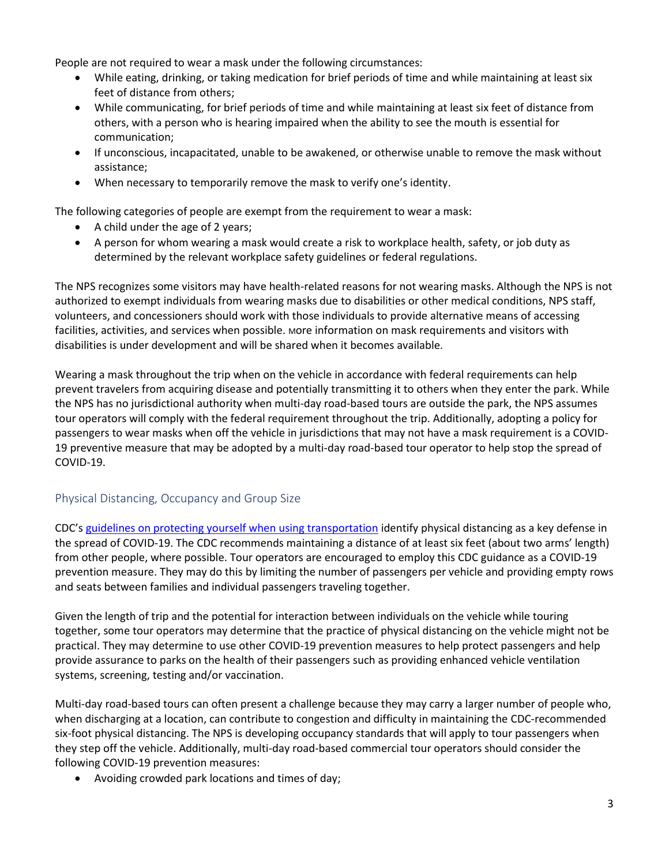People are not required to wear a mask under the following circumstances:

- While eating, drinking, or taking medication for brief periods of time and while maintaining at least six feet of distance from others;
- While communicating, for brief periods of time and while maintaining at least six feet of distance from others, with a person who is hearing impaired when the ability to see the mouth is essential for communication;
- If unconscious, incapacitated, unable to be awakened, or otherwise unable to remove the mask without assistance;
- When necessary to temporarily remove the mask to verify one's identity.

The following categories of people are exempt from the requirement to wear a mask:

- A child under the age of 2 years;
- A person for whom wearing a mask would create a risk to workplace health, safety, or job duty as determined by the relevant workplace safety guidelines or federal regulations.

The NPS recognizes some visitors may have health-related reasons for not wearing masks. Although the NPS is not authorized to exempt individuals from wearing masks due to disabilities or other medical conditions, NPS staff, volunteers, and concessioners should work with those individuals to provide alternative means of accessing facilities, activities, and services when possible. More information on mask requirements and visitors with disabilities is under development and will be shared when it becomes available*.* 

Wearing a mask throughout the trip when on the vehicle in accordance with federal requirements can help prevent travelers from acquiring disease and potentially transmitting it to others when they enter the park. While the NPS has no jurisdictional authority when multi-day road-based tours are outside the park, the NPS assumes tour operators will comply with the federal requirement throughout the trip. Additionally, adopting a policy for passengers to wear masks when off the vehicle in jurisdictions that may not have a mask requirement is a COVID-19 preventive measure that may be adopted by a multi-day road-based tour operator to help stop the spread of COVID-19.

### Physical Distancing, Occupancy and Group Size

CDC's [guidelines on protecting yourself when using transportation](https://www.cdc.gov/coronavirus/2019-ncov/daily-life-coping/using-transportation.html#:~:text=Practice%20physical%20distancing.,-When%20possible%2C%20consider&text=It%20may%20not%20be%20possible,before%20and%20after%20providing%20assistanc) identify physical distancing as a key defense in the spread of COVID-19. The CDC recommends maintaining a distance of at least six feet (about two arms' length) from other people, where possible. Tour operators are encouraged to employ this CDC guidance as a COVID-19 prevention measure. They may do this by limiting the number of passengers per vehicle and providing empty rows and seats between families and individual passengers traveling together.

Given the length of trip and the potential for interaction between individuals on the vehicle while touring together, some tour operators may determine that the practice of physical distancing on the vehicle might not be practical. They may determine to use other COVID-19 prevention measures to help protect passengers and help provide assurance to parks on the health of their passengers such as providing enhanced vehicle ventilation systems, screening, testing and/or vaccination.

Multi-day road-based tours can often present a challenge because they may carry a larger number of people who, when discharging at a location, can contribute to congestion and difficulty in maintaining the CDC-recommended six-foot physical distancing. The NPS is developing occupancy standards that will apply to tour passengers when they step off the vehicle. Additionally, multi-day road-based commercial tour operators should consider the following COVID-19 prevention measures:

• Avoiding crowded park locations and times of day;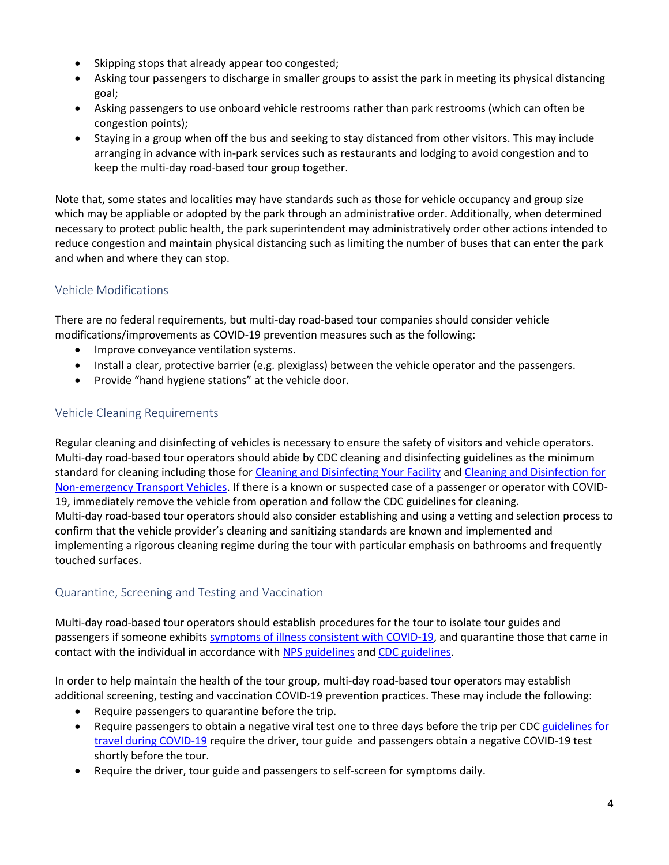- Skipping stops that already appear too congested;
- Asking tour passengers to discharge in smaller groups to assist the park in meeting its physical distancing goal;
- Asking passengers to use onboard vehicle restrooms rather than park restrooms (which can often be congestion points);
- Staying in a group when off the bus and seeking to stay distanced from other visitors. This may include arranging in advance with in-park services such as restaurants and lodging to avoid congestion and to keep the multi-day road-based tour group together.

Note that, some states and localities may have standards such as those for vehicle occupancy and group size which may be appliable or adopted by the park through an administrative order. Additionally, when determined necessary to protect public health, the park superintendent may administratively order other actions intended to reduce congestion and maintain physical distancing such as limiting the number of buses that can enter the park and when and where they can stop.

### Vehicle Modifications

There are no federal requirements, but multi-day road-based tour companies should consider vehicle modifications/improvements as COVID-19 prevention measures such as the following:

- Improve conveyance ventilation systems.
- Install a clear, protective barrier (e.g. plexiglass) between the vehicle operator and the passengers.
- Provide "hand hygiene stations" at the vehicle door.

#### Vehicle Cleaning Requirements

Regular cleaning and disinfecting of vehicles is necessary to ensure the safety of visitors and vehicle operators. Multi-day road-based tour operators should abide by CDC cleaning and disinfecting guidelines as the minimum standard for cleaning including those fo[r Cleaning and Disinfecting Your Facility](https://www.cdc.gov/coronavirus/2019-ncov/community/disinfecting-building-facility.html) and [Cleaning and Disinfection for](https://www.cdc.gov/coronavirus/2019-ncov/community/organizations/disinfecting-transport-vehicles.html)  [Non-emergency Transport Vehicles.](https://www.cdc.gov/coronavirus/2019-ncov/community/organizations/disinfecting-transport-vehicles.html) If there is a known or suspected case of a passenger or operator with COVID-19, immediately remove the vehicle from operation and follow the CDC guidelines for cleaning. Multi-day road-based tour operators should also consider establishing and using a vetting and selection process to confirm that the vehicle provider's cleaning and sanitizing standards are known and implemented and implementing a rigorous cleaning regime during the tour with particular emphasis on bathrooms and frequently touched surfaces.

### Quarantine, Screening and Testing and Vaccination

Multi-day road-based tour operators should establish procedures for the tour to isolate tour guides and passengers if someone exhibits [symptoms of illness consistent with COVID-19,](https://www.cdc.gov/coronavirus/2019-ncov/symptoms-testing/symptoms.html) and quarantine those that came in contact with the individual in accordance with [NPS guidelines](https://inside.nps.gov/coronavirus/nps-coronavirus-response-covid-19-faqs#illness) an[d CDC guidelines.](https://www.cdc.gov/coronavirus/2019-ncov/if-you-are-sick/steps-when-sick.html)

In order to help maintain the health of the tour group, multi-day road-based tour operators may establish additional screening, testing and vaccination COVID-19 prevention practices. These may include the following:

- Require passengers to quarantine before the trip.
- Require passengers to obtain a negative viral test one to three days before the trip per CDC guidelines for [travel during COVID-19](https://www.cdc.gov/coronavirus/2019-ncov/travelers/travel-during-covid19.html) require the driver, tour guide and passengers obtain a negative COVID-19 test shortly before the tour.
- Require the driver, tour guide and passengers to self-screen for symptoms daily.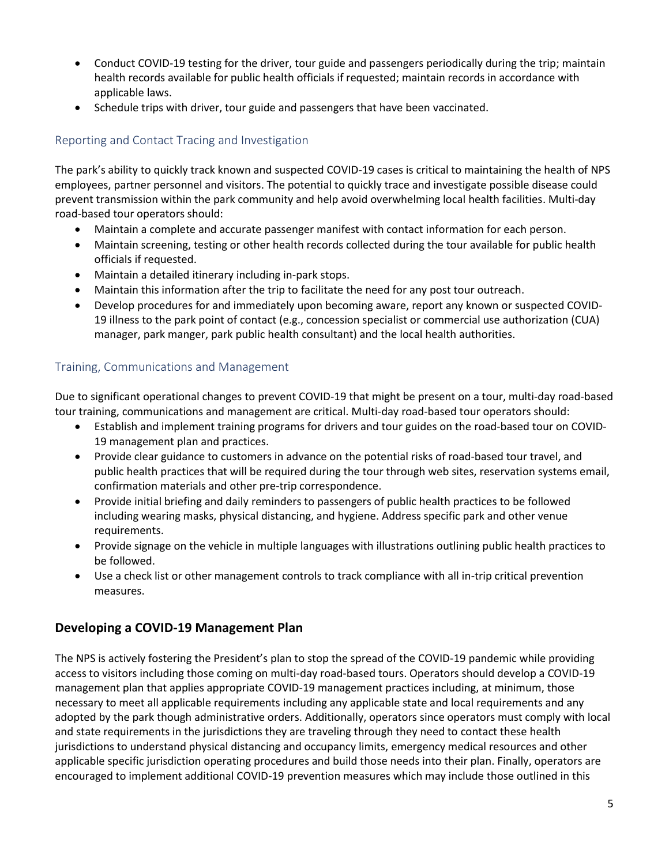- Conduct COVID-19 testing for the driver, tour guide and passengers periodically during the trip; maintain health records available for public health officials if requested; maintain records in accordance with applicable laws.
- Schedule trips with driver, tour guide and passengers that have been vaccinated.

# Reporting and Contact Tracing and Investigation

The park's ability to quickly track known and suspected COVID-19 cases is critical to maintaining the health of NPS employees, partner personnel and visitors. The potential to quickly trace and investigate possible disease could prevent transmission within the park community and help avoid overwhelming local health facilities. Multi-day road-based tour operators should:

- Maintain a complete and accurate passenger manifest with contact information for each person.
- Maintain screening, testing or other health records collected during the tour available for public health officials if requested.
- Maintain a detailed itinerary including in-park stops.
- Maintain this information after the trip to facilitate the need for any post tour outreach.
- Develop procedures for and immediately upon becoming aware, report any known or suspected COVID-19 illness to the park point of contact (e.g., concession specialist or commercial use authorization (CUA) manager, park manger, park public health consultant) and the local health authorities.

### Training, Communications and Management

Due to significant operational changes to prevent COVID-19 that might be present on a tour, multi-day road-based tour training, communications and management are critical. Multi-day road-based tour operators should:

- Establish and implement training programs for drivers and tour guides on the road-based tour on COVID-19 management plan and practices.
- Provide clear guidance to customers in advance on the potential risks of road-based tour travel, and public health practices that will be required during the tour through web sites, reservation systems email, confirmation materials and other pre-trip correspondence.
- Provide initial briefing and daily reminders to passengers of public health practices to be followed including wearing masks, physical distancing, and hygiene. Address specific park and other venue requirements.
- Provide signage on the vehicle in multiple languages with illustrations outlining public health practices to be followed.
- Use a check list or other management controls to track compliance with all in-trip critical prevention measures.

# **Developing a COVID-19 Management Plan**

The NPS is actively fostering the President's plan to stop the spread of the COVID-19 pandemic while providing access to visitors including those coming on multi-day road-based tours. Operators should develop a COVID-19 management plan that applies appropriate COVID-19 management practices including, at minimum, those necessary to meet all applicable requirements including any applicable state and local requirements and any adopted by the park though administrative orders. Additionally, operators since operators must comply with local and state requirements in the jurisdictions they are traveling through they need to contact these health jurisdictions to understand physical distancing and occupancy limits, emergency medical resources and other applicable specific jurisdiction operating procedures and build those needs into their plan. Finally, operators are encouraged to implement additional COVID-19 prevention measures which may include those outlined in this